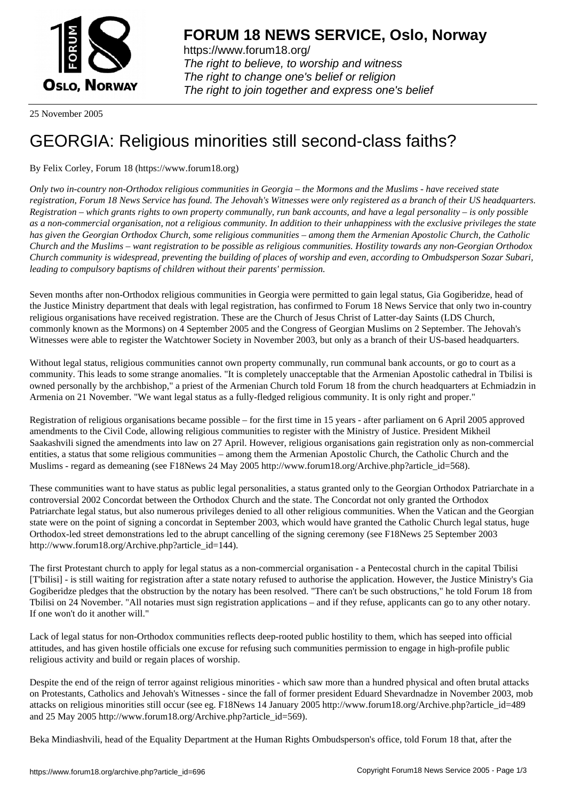

https://www.forum18.org/ The right to believe, to worship and witness The right to change one's belief or religion [The right to join together a](https://www.forum18.org/)nd express one's belief

25 November 2005

## [GEORGIA: Reli](https://www.forum18.org)gious minorities still second-class faiths?

## By Felix Corley, Forum 18 (https://www.forum18.org)

*Only two in-country non-Orthodox religious communities in Georgia – the Mormons and the Muslims - have received state registration, Forum 18 News Service has found. The Jehovah's Witnesses were only registered as a branch of their US headquarters. Registration – which grants rights to own property communally, run bank accounts, and have a legal personality – is only possible as a non-commercial organisation, not a religious community. In addition to their unhappiness with the exclusive privileges the state has given the Georgian Orthodox Church, some religious communities – among them the Armenian Apostolic Church, the Catholic Church and the Muslims – want registration to be possible as religious communities. Hostility towards any non-Georgian Orthodox Church community is widespread, preventing the building of places of worship and even, according to Ombudsperson Sozar Subari, leading to compulsory baptisms of children without their parents' permission.*

Seven months after non-Orthodox religious communities in Georgia were permitted to gain legal status, Gia Gogiberidze, head of the Justice Ministry department that deals with legal registration, has confirmed to Forum 18 News Service that only two in-country religious organisations have received registration. These are the Church of Jesus Christ of Latter-day Saints (LDS Church, commonly known as the Mormons) on 4 September 2005 and the Congress of Georgian Muslims on 2 September. The Jehovah's Witnesses were able to register the Watchtower Society in November 2003, but only as a branch of their US-based headquarters.

Without legal status, religious communities cannot own property communally, run communal bank accounts, or go to court as a community. This leads to some strange anomalies. "It is completely unacceptable that the Armenian Apostolic cathedral in Tbilisi is owned personally by the archbishop," a priest of the Armenian Church told Forum 18 from the church headquarters at Echmiadzin in Armenia on 21 November. "We want legal status as a fully-fledged religious community. It is only right and proper."

Registration of religious organisations became possible – for the first time in 15 years - after parliament on 6 April 2005 approved amendments to the Civil Code, allowing religious communities to register with the Ministry of Justice. President Mikheil Saakashvili signed the amendments into law on 27 April. However, religious organisations gain registration only as non-commercial entities, a status that some religious communities – among them the Armenian Apostolic Church, the Catholic Church and the Muslims - regard as demeaning (see F18News 24 May 2005 http://www.forum18.org/Archive.php?article\_id=568).

These communities want to have status as public legal personalities, a status granted only to the Georgian Orthodox Patriarchate in a controversial 2002 Concordat between the Orthodox Church and the state. The Concordat not only granted the Orthodox Patriarchate legal status, but also numerous privileges denied to all other religious communities. When the Vatican and the Georgian state were on the point of signing a concordat in September 2003, which would have granted the Catholic Church legal status, huge Orthodox-led street demonstrations led to the abrupt cancelling of the signing ceremony (see F18News 25 September 2003 http://www.forum18.org/Archive.php?article\_id=144).

The first Protestant church to apply for legal status as a non-commercial organisation - a Pentecostal church in the capital Tbilisi [T'bilisi] - is still waiting for registration after a state notary refused to authorise the application. However, the Justice Ministry's Gia Gogiberidze pledges that the obstruction by the notary has been resolved. "There can't be such obstructions," he told Forum 18 from Tbilisi on 24 November. "All notaries must sign registration applications – and if they refuse, applicants can go to any other notary. If one won't do it another will."

Lack of legal status for non-Orthodox communities reflects deep-rooted public hostility to them, which has seeped into official attitudes, and has given hostile officials one excuse for refusing such communities permission to engage in high-profile public religious activity and build or regain places of worship.

Despite the end of the reign of terror against religious minorities - which saw more than a hundred physical and often brutal attacks on Protestants, Catholics and Jehovah's Witnesses - since the fall of former president Eduard Shevardnadze in November 2003, mob attacks on religious minorities still occur (see eg. F18News 14 January 2005 http://www.forum18.org/Archive.php?article\_id=489 and 25 May 2005 http://www.forum18.org/Archive.php?article\_id=569).

Beka Mindiashvili, head of the Equality Department at the Human Rights Ombudsperson's office, told Forum 18 that, after the